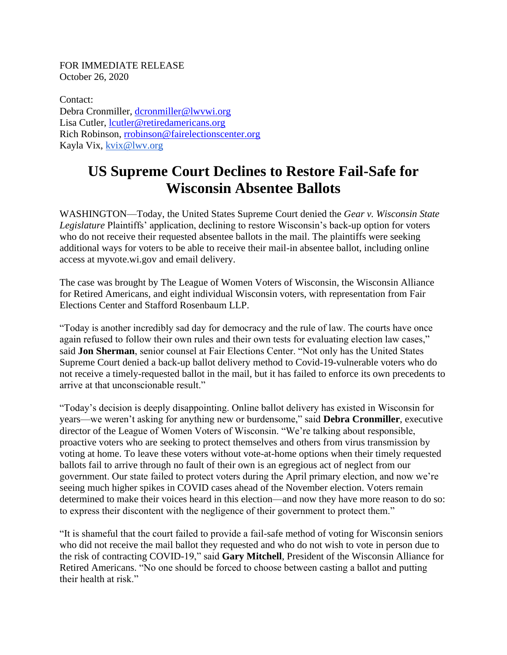FOR IMMEDIATE RELEASE October 26, 2020

Contact: Debra Cronmiller, [dcronmiller@lwvwi.org](mailto:dcronmiller@lwvwi.org) Lisa Cutler, *lcutler@retiredamericans.org* Rich Robinson, [rrobinson@fairelectionscenter.org](mailto:rrobinson@fairelectionscenter.org) Kayla Vix, [kvix@lwv.org](mailto:kvix@lwv.org)

## **US Supreme Court Declines to Restore Fail-Safe for Wisconsin Absentee Ballots**

WASHINGTON—Today, the United States Supreme Court denied the *Gear v. Wisconsin State Legislature* Plaintiffs' application, declining to restore Wisconsin's back-up option for voters who do not receive their requested absentee ballots in the mail. The plaintiffs were seeking additional ways for voters to be able to receive their mail-in absentee ballot, including online access at myvote.wi.gov and email delivery.

The case was brought by The League of Women Voters of Wisconsin, the Wisconsin Alliance for Retired Americans, and eight individual Wisconsin voters, with representation from Fair Elections Center and Stafford Rosenbaum LLP.

"Today is another incredibly sad day for democracy and the rule of law. The courts have once again refused to follow their own rules and their own tests for evaluating election law cases," said **Jon Sherman**, senior counsel at Fair Elections Center. "Not only has the United States Supreme Court denied a back-up ballot delivery method to Covid-19-vulnerable voters who do not receive a timely-requested ballot in the mail, but it has failed to enforce its own precedents to arrive at that unconscionable result."

"Today's decision is deeply disappointing. Online ballot delivery has existed in Wisconsin for years—we weren't asking for anything new or burdensome," said **Debra Cronmiller**, executive director of the League of Women Voters of Wisconsin. "We're talking about responsible, proactive voters who are seeking to protect themselves and others from virus transmission by voting at home. To leave these voters without vote-at-home options when their timely requested ballots fail to arrive through no fault of their own is an egregious act of neglect from our government. Our state failed to protect voters during the April primary election, and now we're seeing much higher spikes in COVID cases ahead of the November election. Voters remain determined to make their voices heard in this election—and now they have more reason to do so: to express their discontent with the negligence of their government to protect them."

"It is shameful that the court failed to provide a fail-safe method of voting for Wisconsin seniors who did not receive the mail ballot they requested and who do not wish to vote in person due to the risk of contracting COVID-19," said **Gary Mitchell**, President of the Wisconsin Alliance for Retired Americans. "No one should be forced to choose between casting a ballot and putting their health at risk."